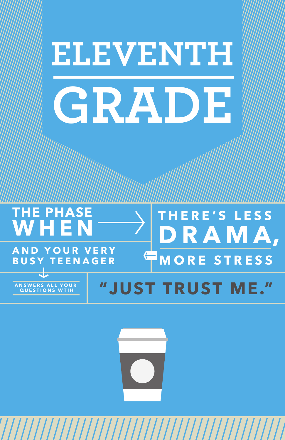

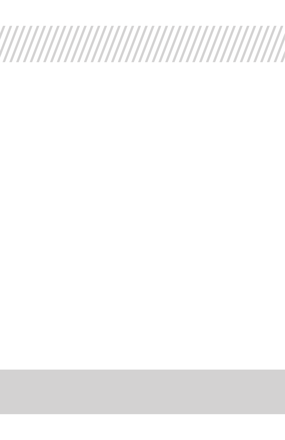##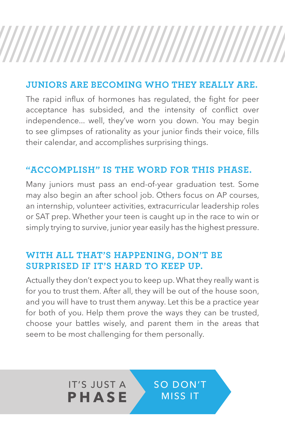#### **JUNIORS ARE BECOMING WHO THEY REALLY ARE.**

The rapid influx of hormones has regulated, the fight for peer acceptance has subsided, and the intensity of conflict over independence... well, they've worn you down. You may begin to see glimpses of rationality as your junior finds their voice, fills their calendar, and accomplishes surprising things.

#### **"ACCOMPLISH" IS THE WORD FOR THIS PHASE.**

Many juniors must pass an end-of-year graduation test. Some may also begin an after school job. Others focus on AP courses, an internship, volunteer activities, extracurricular leadership roles or SAT prep. Whether your teen is caught up in the race to win or simply trying to survive, junior year easily has the highest pressure.

#### **WITH ALL THAT'S HAPPENING, DON'T BE SURPRISED IF IT'S HARD TO KEEP UP.**

IT'S JUST A **PHASE**

Actually they don't expect you to keep up. What they really want is for you to trust them. After all, they will be out of the house soon, and you will have to trust them anyway. Let this be a practice year for both of you. Help them prove the ways they can be trusted, choose your battles wisely, and parent them in the areas that seem to be most challenging for them personally.

> SO DON'T MISS IT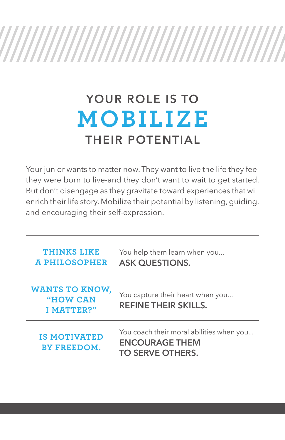# 

### **YOUR ROLE IS TO MOBILIZE THEIR POTENTIAL**

Your junior wants to matter now. They want to live the life they feel they were born to live-and they don't want to wait to get started. But don't disengage as they gravitate toward experiences that will enrich their life story. Mobilize their potential by listening, guiding, and encouraging their self-expression.

| <b>THINKS LIKE</b><br><b>A PHILOSOPHER</b>             | You help them learn when you<br><b>ASK QUESTIONS.</b>                                        |
|--------------------------------------------------------|----------------------------------------------------------------------------------------------|
| <b>WANTS TO KNOW,</b><br>"HOW CAN<br><b>I MATTER?"</b> | You capture their heart when you<br><b>REFINE THEIR SKILLS.</b>                              |
| <b>IS MOTIVATED</b><br>BY FREEDOM.                     | You coach their moral abilities when you<br><b>ENCOURAGE THEM</b><br><b>TO SERVE OTHERS.</b> |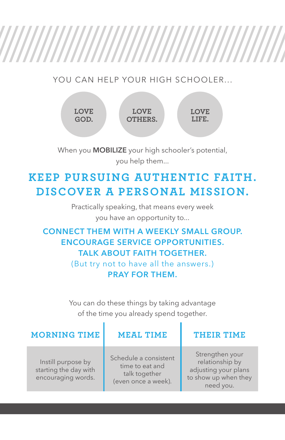#### YOU CAN HELP YOUR HIGH SCHOOLER...



When you **MOBILIZE** your high schooler's potential, you help them...

### **KEEP PURSUING AUTHENTIC FAITH. DISCOVER A PERSONAL MISSION.**

Practically speaking, that means every week you have an opportunity to...

#### **CONNECT THEM WITH A WEEKLY SMALL GROUP. ENCOURAGE SERVICE OPPORTUNITIES. TALK ABOUT FAITH TOGETHER.** (But try not to have all the answers.) **PRAY FOR THEM.**

You can do these things by taking advantage of the time you already spend together.

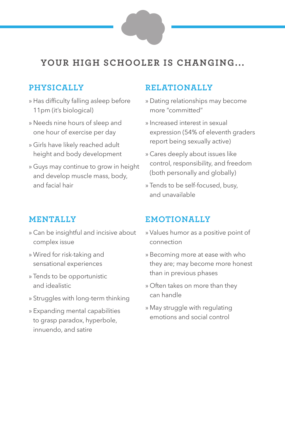#### **YOUR HIGH SCHOOLER IS CHANGING...**

#### **PHYSICALLY**

- » Has difficulty falling asleep before 11pm (it's biological)
- » Needs nine hours of sleep and one hour of exercise per day
- » Girls have likely reached adult height and body development
- » Guys may continue to grow in height and develop muscle mass, body, and facial hair

#### **MENTALLY**

- » Can be insightful and incisive about complex issue
- » Wired for risk-taking and sensational experiences
- » Tends to be opportunistic and idealistic
- » Struggles with long-term thinking
- » Expanding mental capabilities to grasp paradox, hyperbole, innuendo, and satire

#### **RELATIONALLY**

- » Dating relationships may become more "committed"
- » Increased interest in sexual expression (54% of eleventh graders report being sexually active)
- » Cares deeply about issues like control, responsibility, and freedom (both personally and globally)
- » Tends to be self-focused, busy, and unavailable

#### **EMOTIONALLY**

- » Values humor as a positive point of connection
- » Becoming more at ease with who they are; may become more honest than in previous phases
- » Often takes on more than they can handle
- » May struggle with regulating emotions and social control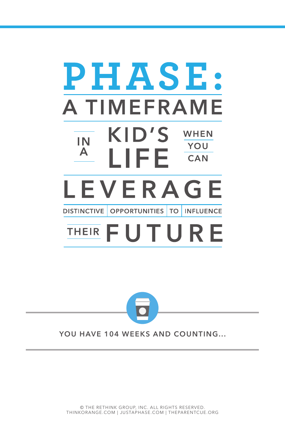### **PHASE: ATIMEFRAME** KID'S WHEN IN YOU A LIFE. CAN LEVERAGE **DISTINCTIVE OPPORTUNITIES TO INFLUENCE THEIR FUTURE**



**YOU HAVE 104 WEEKS AND COUNTING...**

© THE RETHINK GROUP, INC. ALL RIGHTS RESERVED. THINKORANGE.COM | JUSTAPHASE.COM | THEPARENTCUE.ORG